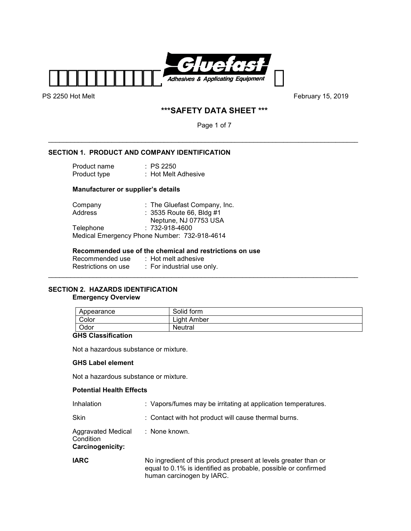

# **\*\*\*SAFETY DATA SHEET \*\*\***

Page 1 of 7

\_\_\_\_\_\_\_\_\_\_\_\_\_\_\_\_\_\_\_\_\_\_\_\_\_\_\_\_\_\_\_\_\_\_\_\_\_\_\_\_\_\_\_\_\_\_\_\_\_\_\_\_\_\_\_\_\_\_\_\_\_\_\_\_\_\_\_\_\_\_\_\_\_\_\_\_\_\_\_\_\_\_\_

# **SECTION 1. PRODUCT AND COMPANY IDENTIFICATION**

| Product name | : PS 2250           |
|--------------|---------------------|
| Product type | : Hot Melt Adhesive |

## **Manufacturer or supplier's details**

| Company          | : The Gluefast Company, Inc.                 |
|------------------|----------------------------------------------|
| Address          | : 3535 Route 66, Bldg #1                     |
|                  | Neptune, NJ 07753 USA                        |
| <b>Telephone</b> | $: 732 - 918 - 4600$                         |
|                  | Medical Emergency Phone Number: 732-918-4614 |

## **Recommended use of the chemical and restrictions on use**

| Recommended use     | $\therefore$ Hot melt adhesive |
|---------------------|--------------------------------|
| Restrictions on use | : For industrial use only.     |

## **SECTION 2. HAZARDS IDENTIFICATION Emergency Overview**

| Appearance | Solid form  |
|------------|-------------|
| Color      | Light Amber |
| Odor       | Neutral     |

\_\_\_\_\_\_\_\_\_\_\_\_\_\_\_\_\_\_\_\_\_\_\_\_\_\_\_\_\_\_\_\_\_\_\_\_\_\_\_\_\_\_\_\_\_\_\_\_\_\_\_\_\_\_\_\_\_\_\_\_\_\_\_\_\_\_\_\_\_\_\_\_\_\_\_\_\_\_\_\_\_\_\_

## **GHS Classification**

Not a hazardous substance or mixture.

### **GHS Label element**

Not a hazardous substance or mixture.

### **Potential Health Effects**

| Inhalation                                                 | : Vapors/fumes may be irritating at application temperatures.                                                                                                  |
|------------------------------------------------------------|----------------------------------------------------------------------------------------------------------------------------------------------------------------|
| Skin                                                       | : Contact with hot product will cause thermal burns.                                                                                                           |
| <b>Aggravated Medical</b><br>Condition<br>Carcinogenicity: | : None known.                                                                                                                                                  |
| <b>IARC</b>                                                | No ingredient of this product present at levels greater than or<br>equal to 0.1% is identified as probable, possible or confirmed<br>human carcinogen by IARC. |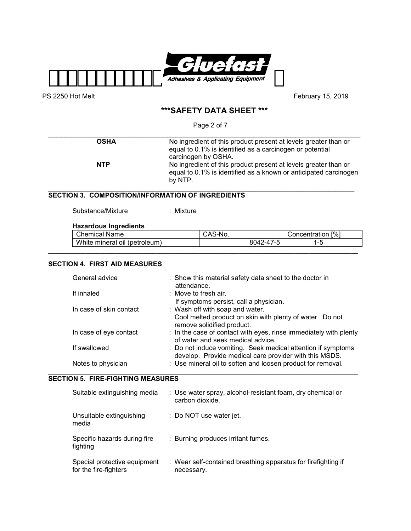

# **\*\*\*SAFETY DATA SHEET \*\*\***

Page 2 of 7

| <b>OSHA</b> | No ingredient of this product present at levels greater than or<br>equal to 0.1% is identified as a carcinogen or potential<br>carcinogen by OSHA. |
|-------------|----------------------------------------------------------------------------------------------------------------------------------------------------|
| <b>NTP</b>  | No ingredient of this product present at levels greater than or<br>equal to 0.1% is identified as a known or anticipated carcinogen<br>by NTP.     |

## **SECTION 3. COMPOSITION/INFORMATION OF INGREDIENTS**

Substance/Mixture : Mixture

# **Hazardous Ingredients**

|    | Chemical<br>Name                                  | ∵Nu.<br>-CAJ                         | $\lceil\% \rceil$<br>∶oncentration |
|----|---------------------------------------------------|--------------------------------------|------------------------------------|
| wr | $\overline{a}$<br>(petroleum)<br>hite mineral oil | $\rightarrow$<br>$8042 - 4$<br>′ – " | .                                  |
|    |                                                   |                                      |                                    |

## **SECTION 4. FIRST AID MEASURES**

| General advice          | : Show this material safety data sheet to the doctor in<br>attendance.                                                 |
|-------------------------|------------------------------------------------------------------------------------------------------------------------|
| If inhaled              | : Move to fresh air.                                                                                                   |
|                         | If symptoms persist, call a physician.                                                                                 |
| In case of skin contact | : Wash off with soap and water.                                                                                        |
|                         | Cool melted product on skin with plenty of water. Do not<br>remove solidified product.                                 |
| In case of eye contact  | : In the case of contact with eyes, rinse immediately with plenty<br>of water and seek medical advice.                 |
| If swallowed            | : Do not induce vomiting. Seek medical attention if symptoms<br>develop. Provide medical care provider with this MSDS. |
| Notes to physician      | : Use mineral oil to soften and loosen product for removal.                                                            |

# **SECTION 5. FIRE-FIGHTING MEASURES**

| Suitable extinguishing media                          | : Use water spray, alcohol-resistant foam, dry chemical or<br>carbon dioxide. |
|-------------------------------------------------------|-------------------------------------------------------------------------------|
| Unsuitable extinguishing<br>media                     | : Do NOT use water jet.                                                       |
| Specific hazards during fire<br>fighting              | : Burning produces irritant fumes.                                            |
| Special protective equipment<br>for the fire-fighters | : Wear self-contained breathing apparatus for firefighting if<br>necessary.   |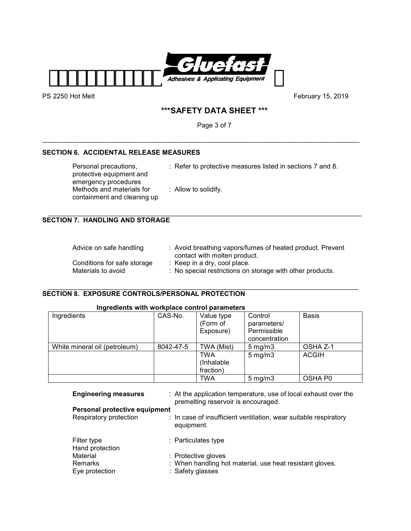

# **\*\*\*SAFETY DATA SHEET \*\*\***

Page 3 of 7

\_\_\_\_\_\_\_\_\_\_\_\_\_\_\_\_\_\_\_\_\_\_\_\_\_\_\_\_\_\_\_\_\_\_\_\_\_\_\_\_\_\_\_\_\_\_\_\_\_\_\_\_\_\_\_\_\_\_\_\_\_\_\_\_\_\_\_\_\_\_\_\_\_\_\_\_\_\_\_\_\_\_\_\_\_

# **SECTION 6. ACCIDENTAL RELEASE MEASURES**

| Personal precautions,<br>protective equipment and<br>emergency procedures | : Refer to protective measures listed in sections 7 and 8. |
|---------------------------------------------------------------------------|------------------------------------------------------------|
| Methods and materials for<br>containment and cleaning up                  | $\therefore$ Allow to solidify.                            |

 $\_$  , and the set of the set of the set of the set of the set of the set of the set of the set of the set of the set of the set of the set of the set of the set of the set of the set of the set of the set of the set of th

# **SECTION 7. HANDLING AND STORAGE**

| Advice on safe handling     | : Avoid breathing vapors/fumes of heated product. Prevent<br>contact with molten product. |
|-----------------------------|-------------------------------------------------------------------------------------------|
| Conditions for safe storage | : Keep in a dry, cool place.                                                              |
| Materials to avoid          | : No special restrictions on storage with other products.                                 |

#### \_\_\_\_\_\_\_\_\_\_\_\_\_\_\_\_\_\_\_\_\_\_\_\_\_\_\_\_\_\_\_\_\_\_\_\_\_\_\_\_\_\_\_\_\_\_\_\_\_\_\_\_\_\_\_\_\_\_\_\_\_\_\_\_\_\_\_\_\_\_\_\_\_\_\_\_\_\_\_\_\_\_\_ **SECTION 8. EXPOSURE CONTROLS/PERSONAL PROTECTION**

# **Ingredients with workplace control parameters**

| Ingredients                   | CAS-No.   | Value type<br>(Form of<br>Exposure) | Control<br>parameters/<br>Permissible | <b>Basis</b> |
|-------------------------------|-----------|-------------------------------------|---------------------------------------|--------------|
|                               |           |                                     | concentration                         |              |
| White mineral oil (petroleum) | 8042-47-5 | TWA (Mist)                          | $5 \,\mathrm{mg/m}$                   | OSHA Z-1     |
|                               |           | TWA                                 | $5 \,\mathrm{mg/m}$                   | <b>ACGIH</b> |
|                               |           | (Inhalable)                         |                                       |              |
|                               |           | fraction)                           |                                       |              |
|                               |           | TWA                                 | $5 \text{ mg/m}$                      | OSHA P0      |

| <b>Engineering measures</b>    | : At the application temperature, use of local exhaust over the<br>premelting reservoir is encouraged. |
|--------------------------------|--------------------------------------------------------------------------------------------------------|
| Personal protective equipment  |                                                                                                        |
| Respiratory protection         | : In case of insufficient ventilation, wear suitable respiratory<br>equipment.                         |
| Filter type<br>Hand protection | : Particulates type                                                                                    |
| Material                       | : Protective gloves                                                                                    |
| Remarks                        | : When handling hot material, use heat resistant gloves.                                               |
| Eye protection                 | : Safety glasses                                                                                       |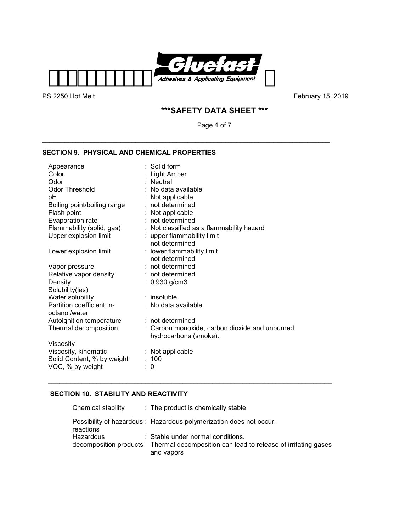

# **\*\*\*SAFETY DATA SHEET \*\*\***

Page 4 of 7

\_\_\_\_\_\_\_\_\_\_\_\_\_\_\_\_\_\_\_\_\_\_\_\_\_\_\_\_\_\_\_\_\_\_\_\_\_\_\_\_\_\_\_\_\_\_\_\_\_\_\_\_\_\_\_\_\_\_\_\_\_\_\_\_\_\_\_\_\_\_\_\_\_\_\_\_\_

# **SECTION 9. PHYSICAL AND CHEMICAL PROPERTIES**

| Appearance                  | $\therefore$ Solid form                        |
|-----------------------------|------------------------------------------------|
| Color                       | : Light Amber                                  |
| Odor                        | : Neutral                                      |
| <b>Odor Threshold</b>       | : No data available                            |
| рH                          | : Not applicable                               |
| Boiling point/boiling range | : not determined                               |
| Flash point                 | : Not applicable                               |
| Evaporation rate            | : not determined                               |
| Flammability (solid, gas)   | : Not classified as a flammability hazard      |
| Upper explosion limit       | : upper flammability limit                     |
|                             | not determined                                 |
| Lower explosion limit       | : lower flammability limit                     |
|                             | not determined                                 |
| Vapor pressure              | : not determined                               |
| Relative vapor density      | : not determined                               |
| Density                     | $: 0.930$ g/cm3                                |
| Solubility(ies)             |                                                |
| Water solubility            | $:$ insoluble                                  |
| Partition coefficient: n-   | : No data available                            |
| octanol/water               |                                                |
| Autoignition temperature    | : not determined                               |
| Thermal decomposition       | : Carbon monoxide, carbon dioxide and unburned |
|                             | hydrocarbons (smoke).                          |
| Viscosity                   |                                                |
| Viscosity, kinematic        | : Not applicable                               |
| Solid Content, % by weight  | : 100                                          |
| VOC, % by weight            | 0                                              |

# **SECTION 10. STABILITY AND REACTIVITY**

| Chemical stability                  | : The product is chemically stable.                                                                |
|-------------------------------------|----------------------------------------------------------------------------------------------------|
| reactions                           | Possibility of hazardous : Hazardous polymerization does not occur.                                |
| Hazardous<br>decomposition products | : Stable under normal conditions.<br>Thermal decomposition can lead to release of irritating gases |
|                                     | and vapors                                                                                         |

\_\_\_\_\_\_\_\_\_\_\_\_\_\_\_\_\_\_\_\_\_\_\_\_\_\_\_\_\_\_\_\_\_\_\_\_\_\_\_\_\_\_\_\_\_\_\_\_\_\_\_\_\_\_\_\_\_\_\_\_\_\_\_\_\_\_\_\_\_\_\_\_\_\_\_\_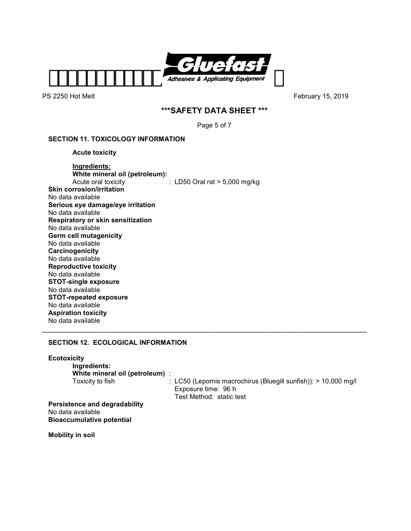

# **\*\*\*SAFETY DATA SHEET \*\*\***

Page 5 of 7

## **SECTION 11. TOXICOLOGY INFORMATION**

 **Acute toxicity** 

## **Ingredients: White mineral oil (petroleum):**<br>Acute oral toxicity  $\therefore$  LD50 Oral rat > 5,000 mg/kg **Skin corrosion/irritation**  No data available **Serious eye damage/eye irritation**  No data available **Respiratory or skin sensitization**  No data available **Germ cell mutagenicity**  No data available **Carcinogenicity**  No data available **Reproductive toxicity**  No data available **STOT-single exposure**  No data available **STOT-repeated exposure**  No data available **Aspiration toxicity**  No data available \_\_\_\_\_\_\_\_\_\_\_\_\_\_\_\_\_\_\_\_\_\_\_\_\_\_\_\_\_\_\_\_\_\_\_\_\_\_\_\_\_\_\_\_\_\_\_\_\_\_\_\_\_\_\_\_\_\_\_\_\_\_\_\_\_\_\_\_\_\_\_\_\_\_\_\_\_\_\_

# **SECTION 12. ECOLOGICAL INFORMATION**

| <b>Ecotoxicity</b><br>Ingredients:<br>White mineral oil (petroleum) :                         |                                                                                                                     |
|-----------------------------------------------------------------------------------------------|---------------------------------------------------------------------------------------------------------------------|
| Toxicity to fish                                                                              | : LC50 (Lepomis macrochirus (Bluegill sunfish)): $> 10,000$ mg/l<br>Exposure time: 96 h<br>Test Method: static test |
| <b>Persistence and degradability</b><br>No data available<br><b>Bioaccumulative potential</b> |                                                                                                                     |
| Mobility in soil                                                                              |                                                                                                                     |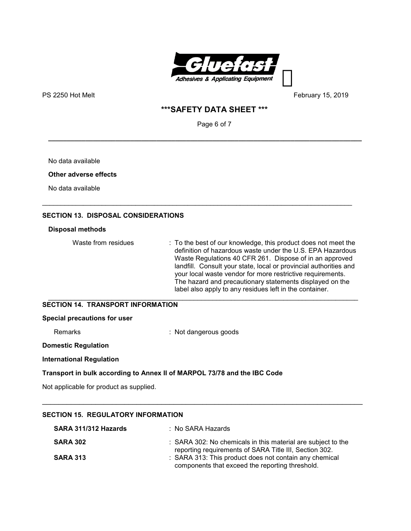

# **\*\*\*SAFETY DATA SHEET \*\*\***

Page 6 of 7

**\_\_\_\_\_\_\_\_\_\_\_\_\_\_\_\_\_\_\_\_\_\_\_\_\_\_\_\_\_\_\_\_\_\_\_\_\_\_\_\_\_\_\_\_\_\_\_\_\_\_\_\_\_\_\_\_\_\_\_\_\_\_\_\_\_\_\_\_\_\_\_\_\_\_\_\_\_\_\_\_\_\_\_\_** 

\_\_\_\_\_\_\_\_\_\_\_\_\_\_\_\_\_\_\_\_\_\_\_\_\_\_\_\_\_\_\_\_\_\_\_\_\_\_\_\_\_\_\_\_\_\_\_\_\_\_\_\_\_\_\_\_\_\_\_\_\_\_\_\_\_\_\_\_\_\_\_\_\_\_\_\_\_\_\_\_\_\_\_

No data available

**Other adverse effects** 

No data available

## **SECTION 13. DISPOSAL CONSIDERATIONS**

## **Disposal methods**

Waste from residues : To the best of our knowledge, this product does not meet the definition of hazardous waste under the U.S. EPA Hazardous Waste Regulations 40 CFR 261. Dispose of in an approved landfill. Consult your state, local or provincial authorities and your local waste vendor for more restrictive requirements. The hazard and precautionary statements displayed on the label also apply to any residues left in the container.

#### \_\_\_\_\_\_\_\_\_\_\_\_\_\_\_\_\_\_\_\_\_\_\_\_\_\_\_\_\_\_\_\_\_\_\_\_\_\_\_\_\_\_\_\_\_\_\_\_\_\_\_\_\_\_\_\_\_\_\_\_\_\_\_\_\_\_\_\_\_\_\_\_\_\_\_\_\_\_\_\_\_\_\_ **SECTION 14. TRANSPORT INFORMATION**

#### **Special precautions for user**

Remarks : Not dangerous goods

#### **Domestic Regulation**

#### **International Regulation**

### **Transport in bulk according to Annex II of MARPOL 73/78 and the IBC Code**

Not applicable for product as supplied.

| SECTION 15. REGULATORY INFORMATION |                                                                                                                        |  |
|------------------------------------|------------------------------------------------------------------------------------------------------------------------|--|
| SARA 311/312 Hazards               | : No SARA Hazards                                                                                                      |  |
| <b>SARA 302</b>                    | : SARA 302: No chemicals in this material are subject to the<br>reporting requirements of SARA Title III, Section 302. |  |
| <b>SARA 313</b>                    | : SARA 313: This product does not contain any chemical<br>components that exceed the reporting threshold.              |  |

\_\_\_\_\_\_\_\_\_\_\_\_\_\_\_\_\_\_\_\_\_\_\_\_\_\_\_\_\_\_\_\_\_\_\_\_\_\_\_\_\_\_\_\_\_\_\_\_\_\_\_\_\_\_\_\_\_\_\_\_\_\_\_\_\_\_\_\_\_\_\_\_\_\_\_\_\_\_